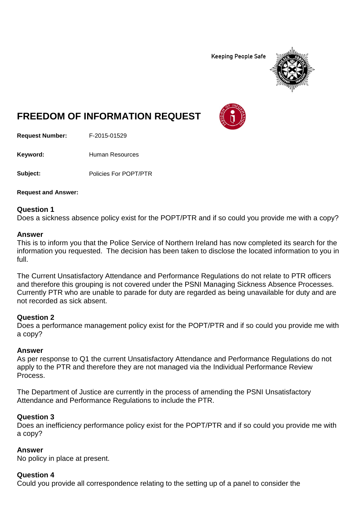**Keeping People Safe** 



# **FREEDOM OF INFORMATION REQUEST**

**Request Number:** F-2015-01529

Keyword: Human Resources

**Subject:** Policies For POPT/PTR

**Request and Answer:**

#### **Question 1**

Does a sickness absence policy exist for the POPT/PTR and if so could you provide me with a copy?

#### **Answer**

This is to inform you that the Police Service of Northern Ireland has now completed its search for the information you requested. The decision has been taken to disclose the located information to you in full.

The Current Unsatisfactory Attendance and Performance Regulations do not relate to PTR officers and therefore this grouping is not covered under the PSNI Managing Sickness Absence Processes. Currently PTR who are unable to parade for duty are regarded as being unavailable for duty and are not recorded as sick absent.

## **Question 2**

Does a performance management policy exist for the POPT/PTR and if so could you provide me with a copy?

#### **Answer**

As per response to Q1 the current Unsatisfactory Attendance and Performance Regulations do not apply to the PTR and therefore they are not managed via the Individual Performance Review Process.

The Department of Justice are currently in the process of amending the PSNI Unsatisfactory Attendance and Performance Regulations to include the PTR.

## **Question 3**

Does an inefficiency performance policy exist for the POPT/PTR and if so could you provide me with a copy?

#### **Answer**

No policy in place at present.

#### **Question 4**

Could you provide all correspondence relating to the setting up of a panel to consider the